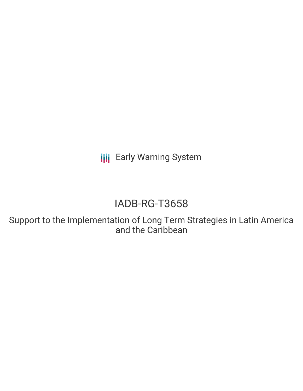**III** Early Warning System

# IADB-RG-T3658

Support to the Implementation of Long Term Strategies in Latin America and the Caribbean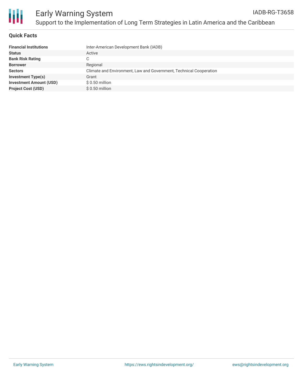

#### **Quick Facts**

| <b>Financial Institutions</b>  | Inter-American Development Bank (IADB)                             |
|--------------------------------|--------------------------------------------------------------------|
| <b>Status</b>                  | Active                                                             |
| <b>Bank Risk Rating</b>        |                                                                    |
| <b>Borrower</b>                | Regional                                                           |
| <b>Sectors</b>                 | Climate and Environment, Law and Government, Technical Cooperation |
| <b>Investment Type(s)</b>      | Grant                                                              |
| <b>Investment Amount (USD)</b> | $$0.50$ million                                                    |
| <b>Project Cost (USD)</b>      | $$0.50$ million                                                    |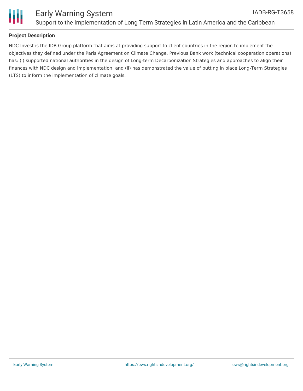

#### **Project Description**

NDC Invest is the IDB Group platform that aims at providing support to client countries in the region to implement the objectives they defined under the Paris Agreement on Climate Change. Previous Bank work (technical cooperation operations) has: (i) supported national authorities in the design of Long-term Decarbonization Strategies and approaches to align their finances with NDC design and implementation; and (ii) has demonstrated the value of putting in place Long-Term Strategies (LTS) to inform the implementation of climate goals.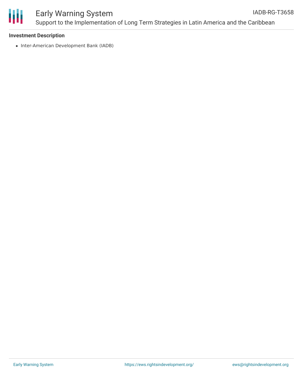

#### Early Warning System Support to the Implementation of Long Term Strategies in Latin America and the Caribbean IADB-RG-T3658

#### **Investment Description**

• Inter-American Development Bank (IADB)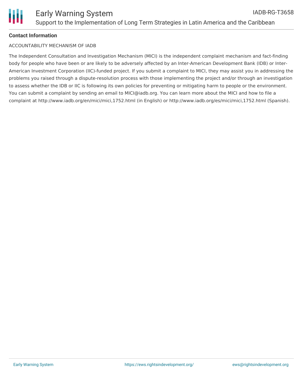## **Contact Information**

### ACCOUNTABILITY MECHANISM OF IADB

The Independent Consultation and Investigation Mechanism (MICI) is the independent complaint mechanism and fact-finding body for people who have been or are likely to be adversely affected by an Inter-American Development Bank (IDB) or Inter-American Investment Corporation (IIC)-funded project. If you submit a complaint to MICI, they may assist you in addressing the problems you raised through a dispute-resolution process with those implementing the project and/or through an investigation to assess whether the IDB or IIC is following its own policies for preventing or mitigating harm to people or the environment. You can submit a complaint by sending an email to MICI@iadb.org. You can learn more about the MICI and how to file a complaint at http://www.iadb.org/en/mici/mici,1752.html (in English) or http://www.iadb.org/es/mici/mici,1752.html (Spanish).